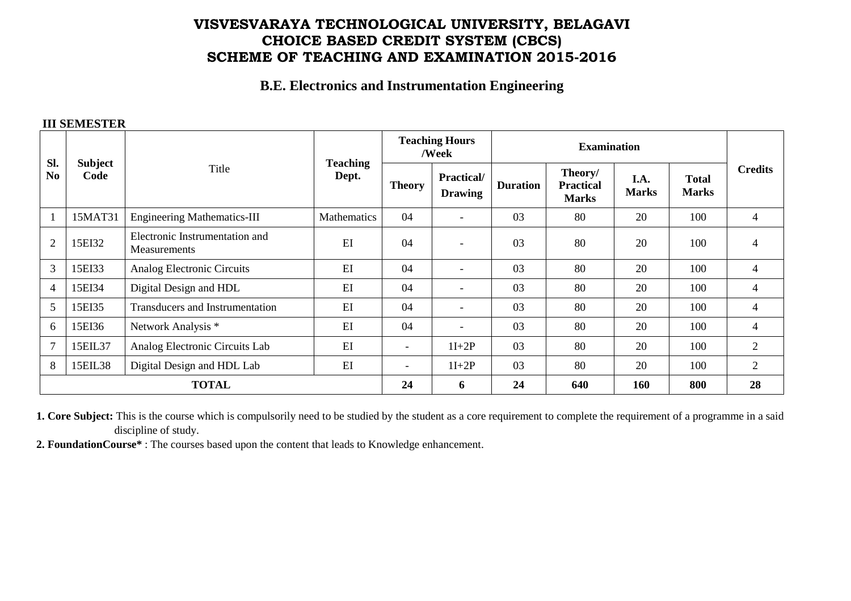# **VISVESVARAYA TECHNOLOGICAL UNIVERSITY, BELAGAVI CHOICE BASED CREDIT SYSTEM (CBCS) SCHEME OF TEACHING AND EXAMINATION 2015-2016**

#### **B.E. Electronics and Instrumentation Engineering**

#### **III SEMESTER**

| SI.<br>N <sub>0</sub> | Subject<br>Code | Title                                          | <b>Teaching</b><br>Dept. | <b>Teaching Hours</b><br>/Week |                                     | <b>Examination</b> |                                             |                      |                              |                |
|-----------------------|-----------------|------------------------------------------------|--------------------------|--------------------------------|-------------------------------------|--------------------|---------------------------------------------|----------------------|------------------------------|----------------|
|                       |                 |                                                |                          | <b>Theory</b>                  | <b>Practical/</b><br><b>Drawing</b> | <b>Duration</b>    | Theory/<br><b>Practical</b><br><b>Marks</b> | I.A.<br><b>Marks</b> | <b>Total</b><br><b>Marks</b> | <b>Credits</b> |
|                       | 15MAT31         | <b>Engineering Mathematics-III</b>             | Mathematics              | 04                             | $\overline{\phantom{a}}$            | 03                 | 80                                          | 20                   | 100                          | $\overline{4}$ |
| $\overline{2}$        | 15EI32          | Electronic Instrumentation and<br>Measurements | EI                       | 04                             | $\overline{\phantom{a}}$            | 03                 | 80                                          | 20                   | 100                          | 4              |
| 3                     | 15EI33          | Analog Electronic Circuits                     | EI                       | 04                             | $\overline{\phantom{a}}$            | 03                 | 80                                          | 20                   | 100                          | 4              |
| $\overline{4}$        | 15EI34          | Digital Design and HDL                         | EI                       | 04                             | $\overline{\phantom{a}}$            | 03                 | 80                                          | 20                   | 100                          | 4              |
| 5                     | 15EI35          | Transducers and Instrumentation                | EI                       | 04                             | $\overline{\phantom{a}}$            | 03                 | 80                                          | 20                   | 100                          | 4              |
| 6                     | 15EI36          | Network Analysis *                             | EI                       | 04                             | $\blacksquare$                      | 03                 | 80                                          | 20                   | 100                          | $\overline{4}$ |
| $\overline{7}$        | 15EIL37         | Analog Electronic Circuits Lab                 | EI                       | $\overline{\phantom{0}}$       | $1I+2P$                             | 03                 | 80                                          | 20                   | 100                          | $\overline{2}$ |
| 8                     | 15EIL38         | Digital Design and HDL Lab                     | EI                       | $\overline{\phantom{a}}$       | $1I+2P$                             | 03                 | 80                                          | 20                   | 100                          | $\overline{2}$ |
| <b>TOTAL</b>          |                 |                                                |                          | 24                             | 6                                   | 24                 | 640                                         | 160                  | 800                          | 28             |

**1. Core Subject:** This is the course which is compulsorily need to be studied by the student as a core requirement to complete the requirement of a programme in a said discipline of study.

**2. FoundationCourse\*** : The courses based upon the content that leads to Knowledge enhancement.